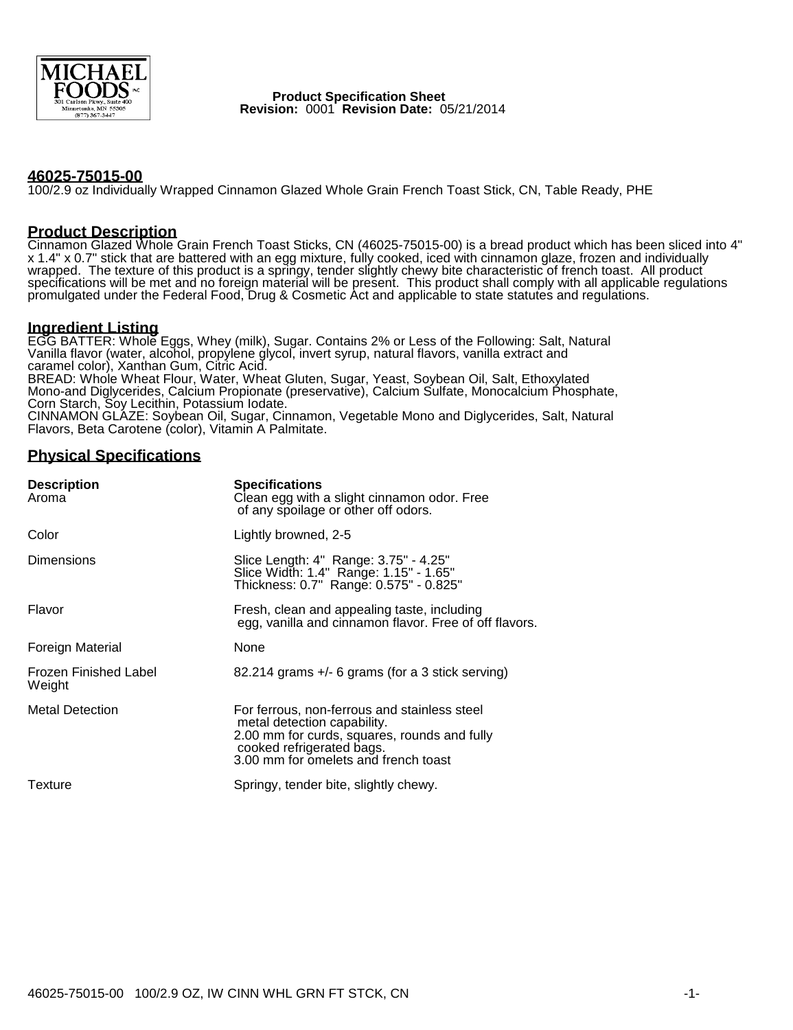

 **Product Specification Sheet Revision:** 0001 **Revision Date:** 05/21/2014

#### **46025-75015-00**

100/2.9 oz Individually Wrapped Cinnamon Glazed Whole Grain French Toast Stick, CN, Table Ready, PHE

#### **Product Description**

Cinnamon Glazed Whole Grain French Toast Sticks, CN (46025-75015-00) is a bread product which has been sliced into 4" x 1.4" x 0.7" stick that are battered with an egg mixture, fully cooked, iced with cinnamon glaze, frozen and individually wrapped. The texture of this product is a springy, tender slightly chewy bite characteristic of french toast. All product specifications will be met and no foreign material will be present. This product shall comply with all applicable regulations promulgated under the Federal Food, Drug & Cosmetic Act and applicable to state statutes and regulations.

#### **Ingredient Listing**

EGG BATTER: Whole Eggs, Whey (milk), Sugar. Contains 2% or Less of the Following: Salt, Natural Vanilla flavor (water, alcohol, propylene glycol, invert syrup, natural flavors, vanilla extract and caramel color), Xanthan Gum, Citric Acid. BREAD: Whole Wheat Flour, Water, Wheat Gluten, Sugar, Yeast, Soybean Oil, Salt, Ethoxylated Mono-and Diglycerides, Calcium Propionate (preservative), Calcium Sulfate, Monocalcium Phosphate, Corn Starch, Soy Lecithin, Potassium Iodate. CINNAMON GLAZE: Soybean Oil, Sugar, Cinnamon, Vegetable Mono and Diglycerides, Salt, Natural Flavors, Beta Carotene (color), Vitamin A Palmitate.

## **Physical Specifications**

| <b>Description</b><br>Aroma     | <b>Specifications</b><br>Clean egg with a slight cinnamon odor. Free<br>of any spoilage or other off odors.                                                                                      |  |  |
|---------------------------------|--------------------------------------------------------------------------------------------------------------------------------------------------------------------------------------------------|--|--|
| Color                           | Lightly browned, 2-5                                                                                                                                                                             |  |  |
| Dimensions                      | Slice Length: 4" Range: 3.75" - 4.25"<br>Slice Width: 1.4" Range: 1.15" - 1.65"<br>Thickness: 0.7" Range: 0.575" - 0.825"                                                                        |  |  |
| Flavor                          | Fresh, clean and appealing taste, including<br>egg, vanilla and cinnamon flavor. Free of off flavors.                                                                                            |  |  |
| <b>Foreign Material</b>         | None                                                                                                                                                                                             |  |  |
| Frozen Finished Label<br>Weight | 82.214 grams +/- 6 grams (for a 3 stick serving)                                                                                                                                                 |  |  |
| <b>Metal Detection</b>          | For ferrous, non-ferrous and stainless steel<br>metal detection capability.<br>2.00 mm for curds, squares, rounds and fully<br>cooked refrigerated bags.<br>3.00 mm for omelets and french toast |  |  |
| Texture                         | Springy, tender bite, slightly chewy.                                                                                                                                                            |  |  |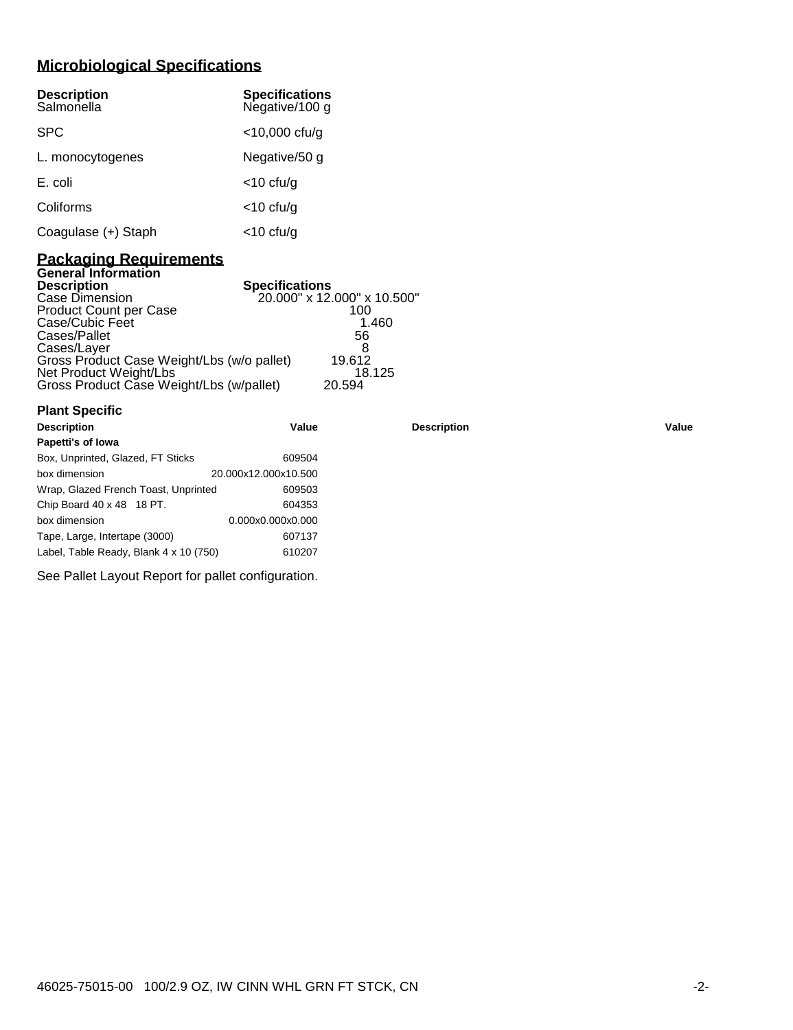# **Microbiological Specifications**

| <b>Description</b><br>Salmonella | <b>Specifications</b><br>Negative/100 g |
|----------------------------------|-----------------------------------------|
| <b>SPC</b>                       | $<$ 10,000 cfu/g                        |
| L. monocytogenes                 | Negative/50 g                           |
| E. coli                          | $<$ 10 cfu/g                            |
| Coliforms                        | $<$ 10 cfu/g                            |
| Coagulase (+) Staph              | <10 cfu/g                               |

#### **Packaging Requirements General Information**

**Plant Specific**

| <b>Description</b>                         | <b>Specifications</b>       |
|--------------------------------------------|-----------------------------|
| Case Dimension                             | 20.000" x 12.000" x 10.500" |
| <b>Product Count per Case</b>              | 100                         |
| Case/Cubic Feet                            | 1.460                       |
| Cases/Pallet                               | 56                          |
| Cases/Layer                                |                             |
| Gross Product Case Weight/Lbs (w/o pallet) | 19.612                      |
| Net Product Weight/Lbs                     | 18.125                      |
| Gross Product Case Weight/Lbs (w/pallet)   | 20.594                      |

| <b>Description</b>                     | Value                | <b>Description</b> | Value |
|----------------------------------------|----------------------|--------------------|-------|
| Papetti's of Iowa                      |                      |                    |       |
| Box, Unprinted, Glazed, FT Sticks      | 609504               |                    |       |
| box dimension                          | 20.000x12.000x10.500 |                    |       |
| Wrap, Glazed French Toast, Unprinted   | 609503               |                    |       |
| Chip Board 40 x 48 18 PT.              | 604353               |                    |       |
| box dimension                          | 0.000x0.000x0.000    |                    |       |
| Tape, Large, Intertape (3000)          | 607137               |                    |       |
| Label, Table Ready, Blank 4 x 10 (750) | 610207               |                    |       |
|                                        |                      |                    |       |

See Pallet Layout Report for pallet configuration.